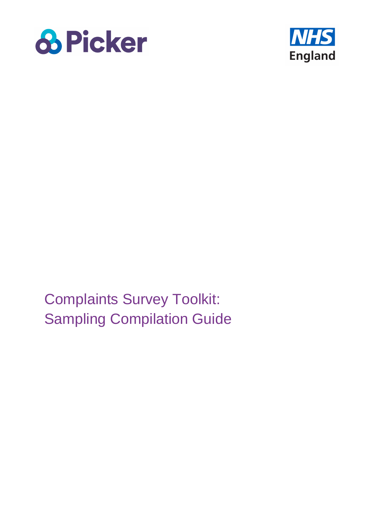



Complaints Survey Toolkit: Sampling Compilation Guide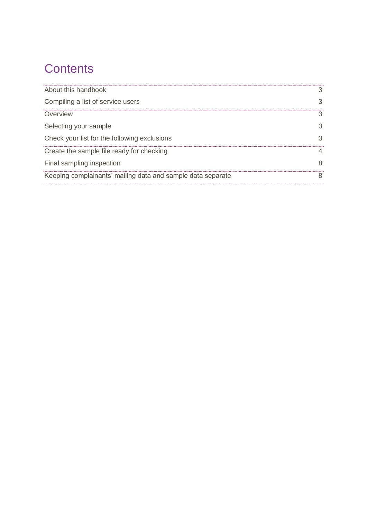# **Contents**

| About this handbook                                         | 3. |
|-------------------------------------------------------------|----|
| Compiling a list of service users                           | 3  |
| Overview                                                    | 3  |
| Selecting your sample                                       | 3  |
| Check your list for the following exclusions                | 3  |
| Create the sample file ready for checking                   | 4  |
| Final sampling inspection                                   | 8  |
| Keeping complainants' mailing data and sample data separate | 8  |
|                                                             |    |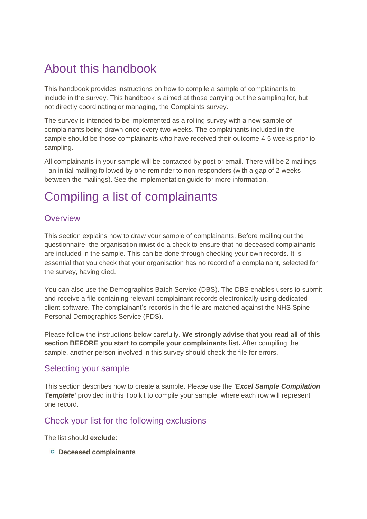# <span id="page-2-0"></span>About this handbook

This handbook provides instructions on how to compile a sample of complainants to include in the survey. This handbook is aimed at those carrying out the sampling for, but not directly coordinating or managing, the Complaints survey.

The survey is intended to be implemented as a rolling survey with a new sample of complainants being drawn once every two weeks. The complainants included in the sample should be those complainants who have received their outcome 4-5 weeks prior to sampling.

All complainants in your sample will be contacted by post or email. There will be 2 mailings - an initial mailing followed by one reminder to non-responders (with a gap of 2 weeks between the mailings). See the implementation guide for more information.

# <span id="page-2-1"></span>Compiling a list of complainants

### <span id="page-2-2"></span>**Overview**

This section explains how to draw your sample of complainants. Before mailing out the questionnaire, the organisation **must** do a check to ensure that no deceased complainants are included in the sample. This can be done through checking your own records. It is essential that you check that your organisation has no record of a complainant, selected for the survey, having died.

You can also use the Demographics Batch Service (DBS). The DBS enables users to submit and receive a file containing relevant complainant records electronically using dedicated client software. The complainant's records in the file are matched against the NHS Spine Personal Demographics Service (PDS).

Please follow the instructions below carefully. **We strongly advise that you read all of this section BEFORE you start to compile your complainants list.** After compiling the sample, another person involved in this survey should check the file for errors.

### <span id="page-2-3"></span>Selecting your sample

This section describes how to create a sample. Please use the *'Excel Sample Compilation*  **Template'** provided in this Toolkit to compile your sample, where each row will represent one record.

### <span id="page-2-4"></span>Check your list for the following exclusions

The list should **exclude**:

**Deceased complainants**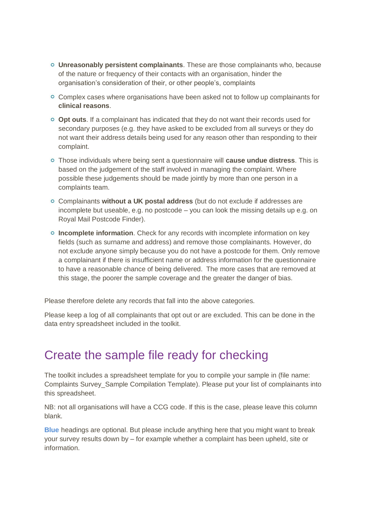- **Unreasonably persistent complainants**. These are those complainants who, because of the nature or frequency of their contacts with an organisation, hinder the organisation's consideration of their, or other people's, complaints
- Complex cases where organisations have been asked not to follow up complainants for **clinical reasons**.
- **Opt outs**. If a complainant has indicated that they do not want their records used for secondary purposes (e.g. they have asked to be excluded from all surveys or they do not want their address details being used for any reason other than responding to their complaint.
- Those individuals where being sent a questionnaire will **cause undue distress**. This is based on the judgement of the staff involved in managing the complaint. Where possible these judgements should be made jointly by more than one person in a complaints team.
- Complainants **without a UK postal address** (but do not exclude if addresses are incomplete but useable, e.g. no postcode – you can look the missing details up e.g. on Royal Mail Postcode Finder).
- **Incomplete information**. Check for any records with incomplete information on key fields (such as surname and address) and remove those complainants. However, do not exclude anyone simply because you do not have a postcode for them. Only remove a complainant if there is insufficient name or address information for the questionnaire to have a reasonable chance of being delivered. The more cases that are removed at this stage, the poorer the sample coverage and the greater the danger of bias.

Please therefore delete any records that fall into the above categories.

Please keep a log of all complainants that opt out or are excluded. This can be done in the data entry spreadsheet included in the toolkit.

## <span id="page-3-0"></span>Create the sample file ready for checking

The toolkit includes a spreadsheet template for you to compile your sample in (file name: Complaints Survey\_Sample Compilation Template). Please put your list of complainants into this spreadsheet.

NB: not all organisations will have a CCG code. If this is the case, please leave this column blank.

**Blue** headings are optional. But please include anything here that you might want to break your survey results down by – for example whether a complaint has been upheld, site or information.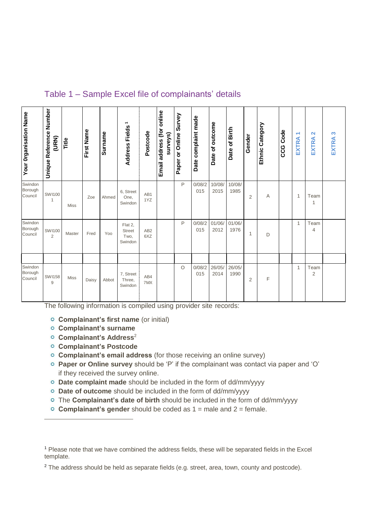| Table 1 – Sample Excel file of complainants' details |  |  |  |
|------------------------------------------------------|--|--|--|
|------------------------------------------------------|--|--|--|

| <b>Your Organisation Name</b> | Unique Reference Number<br>(URN) | Title       | First Name | <b>Surname</b> | $\overline{\phantom{0}}$<br><b>Address Fields</b> | Postcode               | Email address (for online<br>surveys) | Paper or Online Survey | Date complaint made | Date of outcome | Date of Birth  | Gender         | Ethnic Category | <b>CCG Code</b> | $\overline{\phantom{0}}$<br>EXTRA | $\mathbf{\Omega}$<br>⋖<br><b>EXTR</b> | က<br>EXTRA |
|-------------------------------|----------------------------------|-------------|------------|----------------|---------------------------------------------------|------------------------|---------------------------------------|------------------------|---------------------|-----------------|----------------|----------------|-----------------|-----------------|-----------------------------------|---------------------------------------|------------|
| Swindon<br>Borough<br>Council | <b>SW1100</b><br>1               | Miss        | Zoe        | Ahmed          | 6, Street<br>One,<br>Swindon                      | AB1<br>1YZ             |                                       | P                      | 0/08/2<br>015       | 10/08/<br>2015  | 10/08/<br>1985 | $\overline{2}$ | Α               |                 | 1                                 | Team<br>1                             |            |
| Swindon<br>Borough<br>Council | <b>SW1100</b><br>2               | Master      | Fred       | Yoo            | Flat 2,<br><b>Street</b><br>Two.<br>Swindon       | AB <sub>2</sub><br>6XZ |                                       | P                      | 0/08/2<br>015       | 01/06/<br>2012  | 01/06/<br>1976 | 1              | D               |                 | $\mathbf{1}$                      | Team<br>4                             |            |
| Swindon<br>Borough<br>Council | <b>SW1158</b><br>9               | <b>Miss</b> | Daisy      | Abbot          | 7, Street<br>Three,<br>Swindon                    | AB4<br>7MX             |                                       | $\circ$                | 0/08/2<br>015       | 26/05/<br>2014  | 26/05/<br>1990 | $\overline{2}$ | F               |                 | 1                                 | Team<br>$\overline{2}$                |            |

The following information is compiled using provider site records:

- **Complainant's first name** (or initial)
- **Complainant's surname**
- **Complainant's Address**<sup>2</sup>
- **Complainant's Postcode**

 $\overline{a}$ 

- **Complainant's email address** (for those receiving an online survey)
- **Paper or Online survey** should be 'P' if the complainant was contact via paper and 'O' if they received the survey online.
- **Date complaint made** should be included in the form of dd/mm/yyyy
- **Date of outcome** should be included in the form of dd/mm/yyyy
- The **Complainant's date of birth** should be included in the form of dd/mm/yyyy
- **Complainant's gender** should be coded as 1 = male and 2 = female.

<sup>1</sup> Please note that we have combined the address fields, these will be separated fields in the Excel template.

<sup>&</sup>lt;sup>2</sup> The address should be held as separate fields (e.g. street, area, town, county and postcode).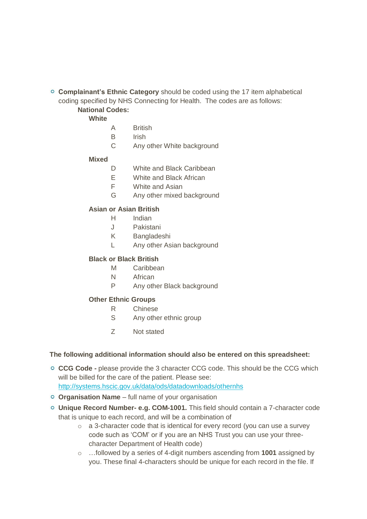**Complainant's Ethnic Category** should be coded using the 17 item alphabetical coding specified by NHS Connecting for Health. The codes are as follows: **National Codes:**

**White**

- A British
- B Irish
- C Any other White background

#### **Mixed**

- D White and Black Caribbean
- E White and Black African
- F White and Asian
- G Any other mixed background

#### **Asian or Asian British**

- H Indian
- J Pakistani
- K Bangladeshi
- L Any other Asian background

#### **Black or Black British**

- M Caribbean
- N African
- P Any other Black background

#### **Other Ethnic Groups**

- R Chinese
- S Any other ethnic group
- Z Not stated

#### **The following additional information should also be entered on this spreadsheet:**

- **CCG Code -** please provide the 3 character CCG code. This should be the CCG which will be billed for the care of the patient. Please see: <http://systems.hscic.gov.uk/data/ods/datadownloads/othernhs>
- **Organisation Name**  full name of your organisation
- **Unique Record Number- e.g. COM-1001.** This field should contain a 7-character code that is unique to each record, and will be a combination of
	- o a 3-character code that is identical for every record (you can use a survey code such as 'COM' or if you are an NHS Trust you can use your threecharacter Department of Health code)
	- o …followed by a series of 4-digit numbers ascending from **1001** assigned by you. These final 4-characters should be unique for each record in the file. If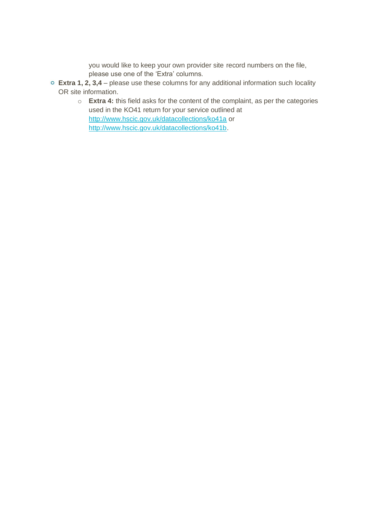you would like to keep your own provider site record numbers on the file, please use one of the 'Extra' columns.

- **Extra 1, 2, 3,4** please use these columns for any additional information such locality OR site information.
	- o **Extra 4:** this field asks for the content of the complaint, as per the categories used in the KO41 return for your service outlined at <http://www.hscic.gov.uk/datacollections/ko41a> or [http://www.hscic.gov.uk/datacollections/ko41b.](http://www.hscic.gov.uk/datacollections/ko41b)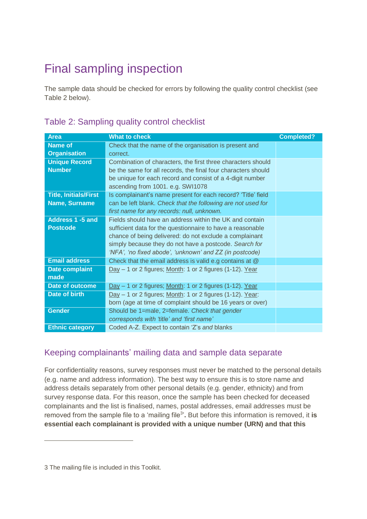# <span id="page-7-0"></span>Final sampling inspection

The sample data should be checked for errors by following the quality control checklist (see Table 2 below).

| <b>Area</b>                  | <b>What to check</b>                                          | <b>Completed?</b> |
|------------------------------|---------------------------------------------------------------|-------------------|
|                              |                                                               |                   |
| <b>Name of</b>               | Check that the name of the organisation is present and        |                   |
| <b>Organisation</b>          | correct.                                                      |                   |
| <b>Unique Record</b>         | Combination of characters, the first three characters should  |                   |
| <b>Number</b>                | be the same for all records, the final four characters should |                   |
|                              | be unique for each record and consist of a 4-digit number     |                   |
|                              | ascending from 1001. e.g. SWI1078                             |                   |
| <b>Title, Initials/First</b> | Is complainant's name present for each record? 'Title' field  |                   |
| Name, Surname                | can be left blank. Check that the following are not used for  |                   |
|                              | first name for any records: null, unknown.                    |                   |
|                              |                                                               |                   |
| <b>Address 1 -5 and</b>      | Fields should have an address within the UK and contain       |                   |
| <b>Postcode</b>              | sufficient data for the questionnaire to have a reasonable    |                   |
|                              | chance of being delivered: do not exclude a complainant       |                   |
|                              | simply because they do not have a postcode. Search for        |                   |
|                              | 'NFA', 'no fixed abode', 'unknown' and ZZ (in postcode)       |                   |
| <b>Email address</b>         | Check that the email address is valid e.g contains at @       |                   |
| <b>Date complaint</b>        | $Day - 1$ or 2 figures; Month: 1 or 2 figures (1-12). Year    |                   |
| made                         |                                                               |                   |
| <b>Date of outcome</b>       | Day - 1 or 2 figures; Month: 1 or 2 figures (1-12). Year      |                   |
| Date of birth                | $Day - 1$ or 2 figures; Month: 1 or 2 figures (1-12). Year:   |                   |
|                              | born (age at time of complaint should be 16 years or over)    |                   |
| <b>Gender</b>                | Should be 1=male, 2=female. Check that gender                 |                   |
|                              | corresponds with 'title' and 'first name'                     |                   |
| <b>Ethnic category</b>       | Coded A-Z. Expect to contain 'Z's and blanks                  |                   |
|                              |                                                               |                   |

## Table 2: Sampling quality control checklist

### <span id="page-7-1"></span>Keeping complainants' mailing data and sample data separate

For confidentiality reasons, survey responses must never be matched to the personal details (e.g. name and address information). The best way to ensure this is to store name and address details separately from other personal details (e.g. gender, ethnicity) and from survey response data. For this reason, once the sample has been checked for deceased complainants and the list is finalised, names, postal addresses, email addresses must be removed from the sample file to a 'mailing file<sup>3</sup>'. But before this information is removed, it is **essential each complainant is provided with a unique number (URN) and that this** 

 $\overline{a}$ 

<sup>3</sup> The mailing file is included in this Toolkit.